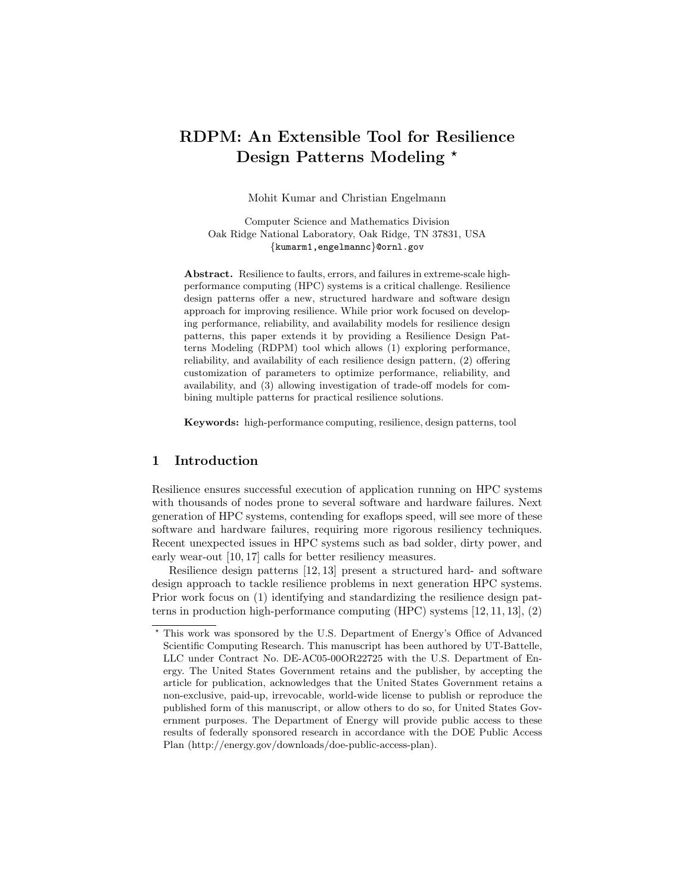# RDPM: An Extensible Tool for Resilience Design Patterns Modeling \*

Mohit Kumar and Christian Engelmann

Computer Science and Mathematics Division Oak Ridge National Laboratory, Oak Ridge, TN 37831, USA {kumarm1,engelmannc}@ornl.gov

Abstract. Resilience to faults, errors, and failures in extreme-scale highperformance computing (HPC) systems is a critical challenge. Resilience design patterns offer a new, structured hardware and software design approach for improving resilience. While prior work focused on developing performance, reliability, and availability models for resilience design patterns, this paper extends it by providing a Resilience Design Patterns Modeling (RDPM) tool which allows (1) exploring performance, reliability, and availability of each resilience design pattern, (2) offering customization of parameters to optimize performance, reliability, and availability, and (3) allowing investigation of trade-off models for combining multiple patterns for practical resilience solutions.

Keywords: high-performance computing, resilience, design patterns, tool

### 1 Introduction

Resilience ensures successful execution of application running on HPC systems with thousands of nodes prone to several software and hardware failures. Next generation of HPC systems, contending for exaflops speed, will see more of these software and hardware failures, requiring more rigorous resiliency techniques. Recent unexpected issues in HPC systems such as bad solder, dirty power, and early wear-out [10, 17] calls for better resiliency measures.

Resilience design patterns [12, 13] present a structured hard- and software design approach to tackle resilience problems in next generation HPC systems. Prior work focus on (1) identifying and standardizing the resilience design patterns in production high-performance computing (HPC) systems [12, 11, 13], (2)

<sup>?</sup> This work was sponsored by the U.S. Department of Energy's Office of Advanced Scientific Computing Research. This manuscript has been authored by UT-Battelle, LLC under Contract No. DE-AC05-00OR22725 with the U.S. Department of Energy. The United States Government retains and the publisher, by accepting the article for publication, acknowledges that the United States Government retains a non-exclusive, paid-up, irrevocable, world-wide license to publish or reproduce the published form of this manuscript, or allow others to do so, for United States Government purposes. The Department of Energy will provide public access to these results of federally sponsored research in accordance with the DOE Public Access Plan (http://energy.gov/downloads/doe-public-access-plan).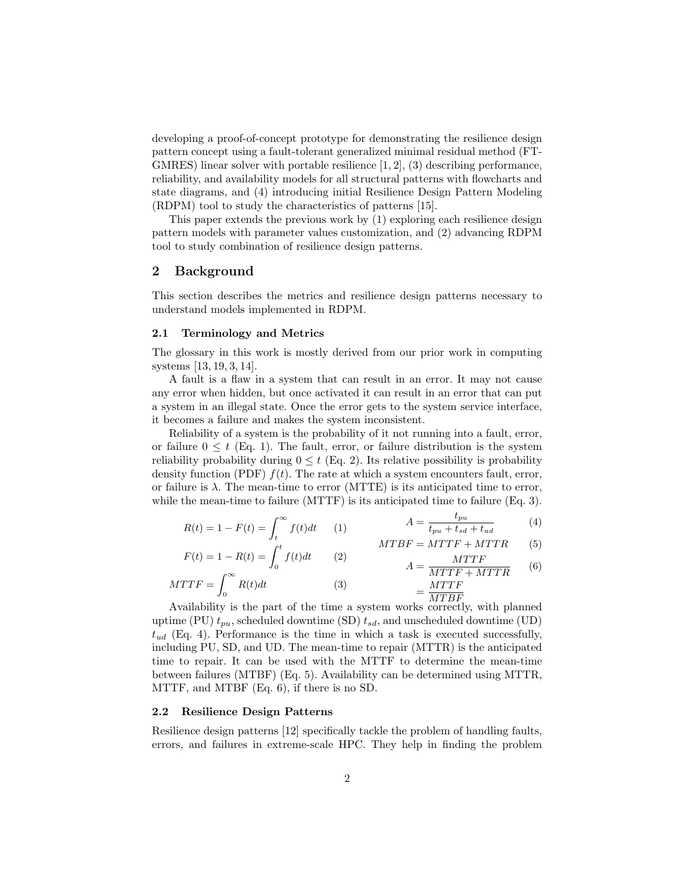developing a proof-of-concept prototype for demonstrating the resilience design pattern concept using a fault-tolerant generalized minimal residual method (FT-GMRES) linear solver with portable resilience  $[1, 2]$ ,  $(3)$  describing performance, reliability, and availability models for all structural patterns with flowcharts and state diagrams, and (4) introducing initial Resilience Design Pattern Modeling (RDPM) tool to study the characteristics of patterns [15].

This paper extends the previous work by (1) exploring each resilience design pattern models with parameter values customization, and (2) advancing RDPM tool to study combination of resilience design patterns.

### 2 Background

This section describes the metrics and resilience design patterns necessary to understand models implemented in RDPM.

### 2.1 Terminology and Metrics

The glossary in this work is mostly derived from our prior work in computing systems [13, 19, 3, 14].

A fault is a flaw in a system that can result in an error. It may not cause any error when hidden, but once activated it can result in an error that can put a system in an illegal state. Once the error gets to the system service interface, it becomes a failure and makes the system inconsistent.

Reliability of a system is the probability of it not running into a fault, error, or failure  $0 \leq t$  (Eq. 1). The fault, error, or failure distribution is the system reliability probability during  $0 \leq t$  (Eq. 2). Its relative possibility is probability density function (PDF)  $f(t)$ . The rate at which a system encounters fault, error, or failure is  $\lambda$ . The mean-time to error (MTTE) is its anticipated time to error, while the mean-time to failure (MTTF) is its anticipated time to failure (Eq. 3).

$$
R(t) = 1 - F(t) = \int_{t}^{\infty} f(t)dt \qquad (1) \qquad A = \frac{t_{pu}}{t_{pu} + t_{sd} + t_{ud}} \qquad (4)
$$

$$
F(t) = 1 - R(t) = \int_{0}^{t} f(t)dt
$$
 (2) 
$$
MTBF = MTTF + MTTR
$$
 (5)

$$
F(t) = 1 - R(t) = \int_0^{\infty} f(t)dt
$$
 (2)  

$$
MTTF = \int_0^{\infty} R(t)dt
$$
 (3)  

$$
= \frac{MTTF}{MTTF}
$$
 (6)  

$$
= \frac{MTTF}{MTTF}
$$

Availability is the part of the time a system works correctly, with planned uptime (PU)  $t_{pu}$ , scheduled downtime (SD)  $t_{sd}$ , and unscheduled downtime (UD)  $t_{ud}$  (Eq. 4). Performance is the time in which a task is executed successfully, including PU, SD, and UD. The mean-time to repair (MTTR) is the anticipated time to repair. It can be used with the MTTF to determine the mean-time between failures (MTBF) (Eq. 5). Availability can be determined using MTTR, MTTF, and MTBF (Eq. 6), if there is no SD.

#### 2.2 Resilience Design Patterns

Resilience design patterns [12] specifically tackle the problem of handling faults, errors, and failures in extreme-scale HPC. They help in finding the problem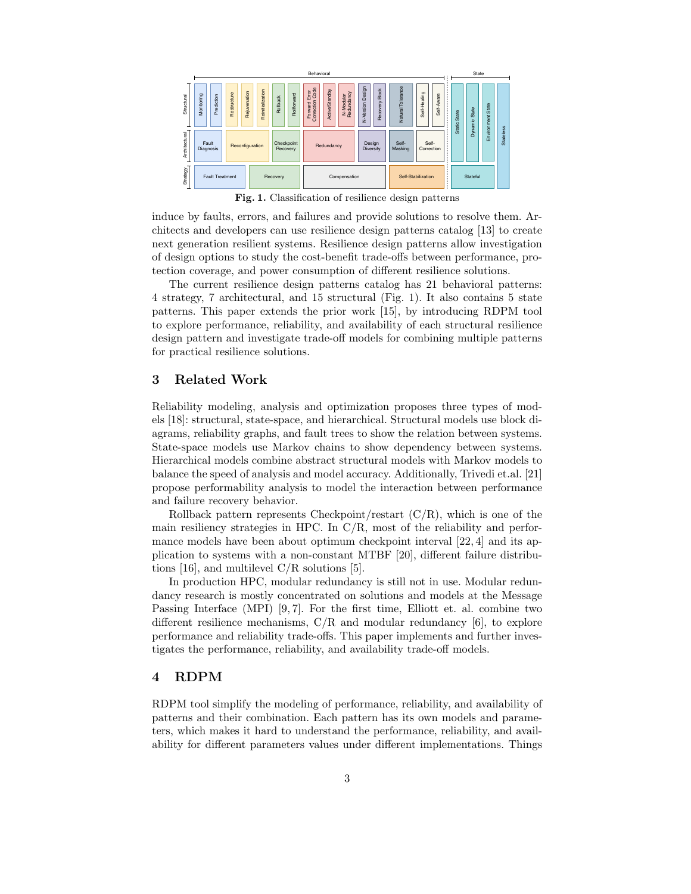

Fig. 1. Classification of resilience design patterns

induce by faults, errors, and failures and provide solutions to resolve them. Architects and developers can use resilience design patterns catalog [13] to create next generation resilient systems. Resilience design patterns allow investigation of design options to study the cost-benefit trade-offs between performance, protection coverage, and power consumption of different resilience solutions.

The current resilience design patterns catalog has 21 behavioral patterns: 4 strategy, 7 architectural, and 15 structural (Fig. 1). It also contains 5 state patterns. This paper extends the prior work [15], by introducing RDPM tool to explore performance, reliability, and availability of each structural resilience design pattern and investigate trade-off models for combining multiple patterns for practical resilience solutions.

### 3 Related Work

Reliability modeling, analysis and optimization proposes three types of models [18]: structural, state-space, and hierarchical. Structural models use block diagrams, reliability graphs, and fault trees to show the relation between systems. State-space models use Markov chains to show dependency between systems. Hierarchical models combine abstract structural models with Markov models to balance the speed of analysis and model accuracy. Additionally, Trivedi et.al. [21] propose performability analysis to model the interaction between performance and failure recovery behavior.

Rollback pattern represents Checkpoint/restart  $(C/R)$ , which is one of the main resiliency strategies in HPC. In C/R, most of the reliability and performance models have been about optimum checkpoint interval [22, 4] and its application to systems with a non-constant MTBF [20], different failure distributions [16], and multilevel C/R solutions [5].

In production HPC, modular redundancy is still not in use. Modular redundancy research is mostly concentrated on solutions and models at the Message Passing Interface (MPI) [9,7]. For the first time, Elliott et. al. combine two different resilience mechanisms,  $C/R$  and modular redundancy [6], to explore performance and reliability trade-offs. This paper implements and further investigates the performance, reliability, and availability trade-off models.

# 4 RDPM

RDPM tool simplify the modeling of performance, reliability, and availability of patterns and their combination. Each pattern has its own models and parameters, which makes it hard to understand the performance, reliability, and availability for different parameters values under different implementations. Things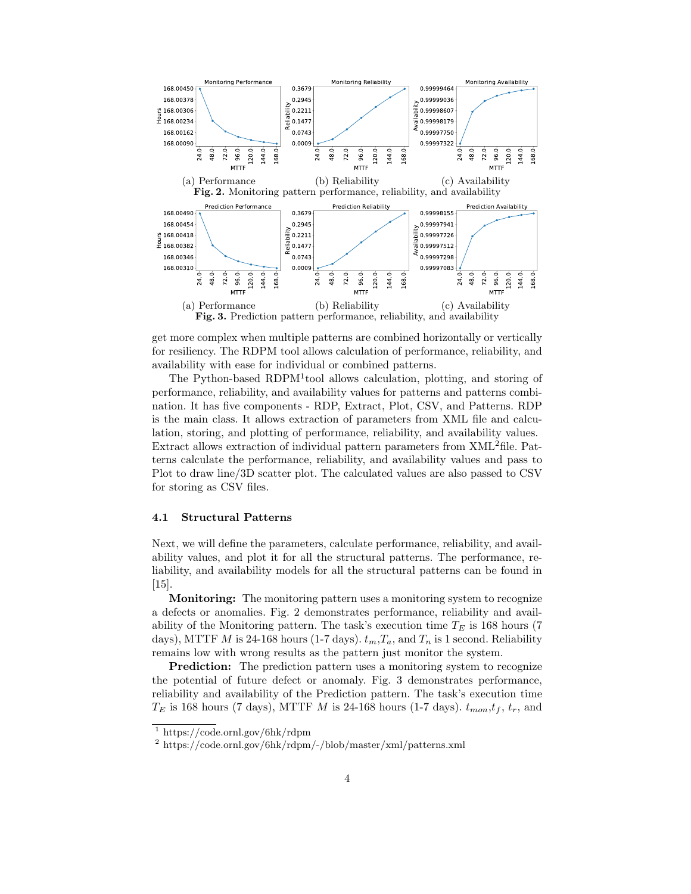

get more complex when multiple patterns are combined horizontally or vertically for resiliency. The RDPM tool allows calculation of performance, reliability, and availability with ease for individual or combined patterns.

The Python-based RDPM<sup>1</sup>tool allows calculation, plotting, and storing of performance, reliability, and availability values for patterns and patterns combination. It has five components - RDP, Extract, Plot, CSV, and Patterns. RDP is the main class. It allows extraction of parameters from XML file and calculation, storing, and plotting of performance, reliability, and availability values. Extract allows extraction of individual pattern parameters from XML2file. Patterns calculate the performance, reliability, and availability values and pass to Plot to draw line/3D scatter plot. The calculated values are also passed to CSV for storing as CSV files.

#### 4.1 Structural Patterns

Next, we will define the parameters, calculate performance, reliability, and availability values, and plot it for all the structural patterns. The performance, reliability, and availability models for all the structural patterns can be found in [15].

Monitoring: The monitoring pattern uses a monitoring system to recognize a defects or anomalies. Fig. 2 demonstrates performance, reliability and availability of the Monitoring pattern. The task's execution time  $T_E$  is 168 hours (7) days), MTTF M is 24-168 hours (1-7 days).  $t_m, T_a$ , and  $T_n$  is 1 second. Reliability remains low with wrong results as the pattern just monitor the system.

**Prediction:** The prediction pattern uses a monitoring system to recognize the potential of future defect or anomaly. Fig. 3 demonstrates performance, reliability and availability of the Prediction pattern. The task's execution time  $T_E$  is 168 hours (7 days), MTTF M is 24-168 hours (1-7 days).  $t_{mon}$ ,  $t_f$ ,  $t_r$ , and

 $1 \text{ https://code.coml.gov/6hk/rdpm}$ 

<sup>2</sup> https://code.ornl.gov/6hk/rdpm/-/blob/master/xml/patterns.xml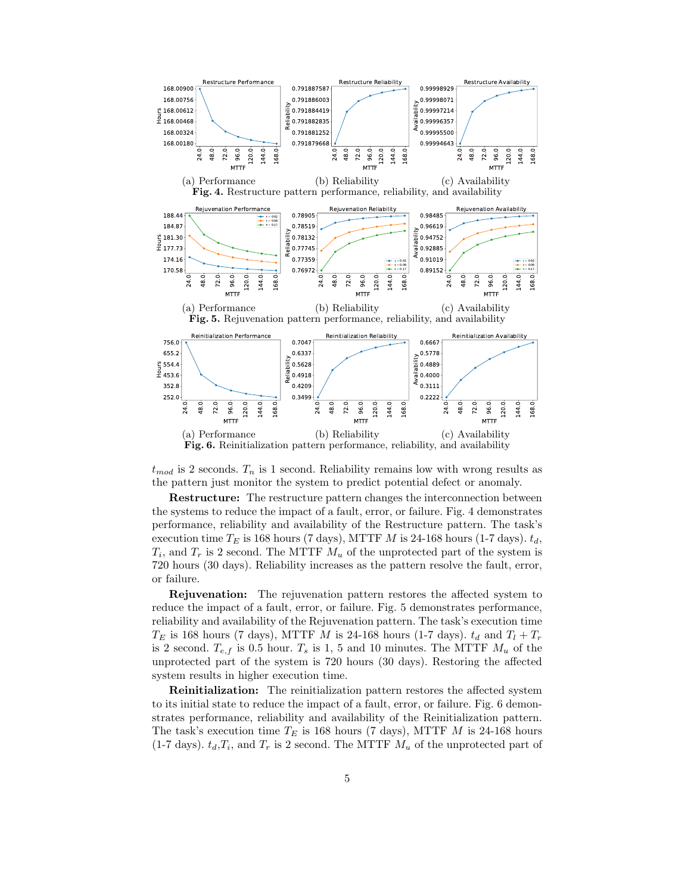

 $t_{mod}$  is 2 seconds.  $T_n$  is 1 second. Reliability remains low with wrong results as the pattern just monitor the system to predict potential defect or anomaly.

Restructure: The restructure pattern changes the interconnection between the systems to reduce the impact of a fault, error, or failure. Fig. 4 demonstrates performance, reliability and availability of the Restructure pattern. The task's execution time  $T_E$  is 168 hours (7 days), MTTF M is 24-168 hours (1-7 days).  $t_d$ ,  $T_i$ , and  $T_r$  is 2 second. The MTTF  $M_u$  of the unprotected part of the system is 720 hours (30 days). Reliability increases as the pattern resolve the fault, error, or failure.

Rejuvenation: The rejuvenation pattern restores the affected system to reduce the impact of a fault, error, or failure. Fig. 5 demonstrates performance, reliability and availability of the Rejuvenation pattern. The task's execution time  $T_E$  is 168 hours (7 days), MTTF M is 24-168 hours (1-7 days).  $t_d$  and  $T_l + T_r$ is 2 second.  $T_{e,f}$  is 0.5 hour.  $T_s$  is 1, 5 and 10 minutes. The MTTF  $M_u$  of the unprotected part of the system is 720 hours (30 days). Restoring the affected system results in higher execution time.

Reinitialization: The reinitialization pattern restores the affected system to its initial state to reduce the impact of a fault, error, or failure. Fig. 6 demonstrates performance, reliability and availability of the Reinitialization pattern. The task's execution time  $T_E$  is 168 hours (7 days), MTTF M is 24-168 hours  $(1\text{-}7 \text{ days})$ .  $t_d, T_i$ , and  $T_r$  is 2 second. The MTTF  $M_u$  of the unprotected part of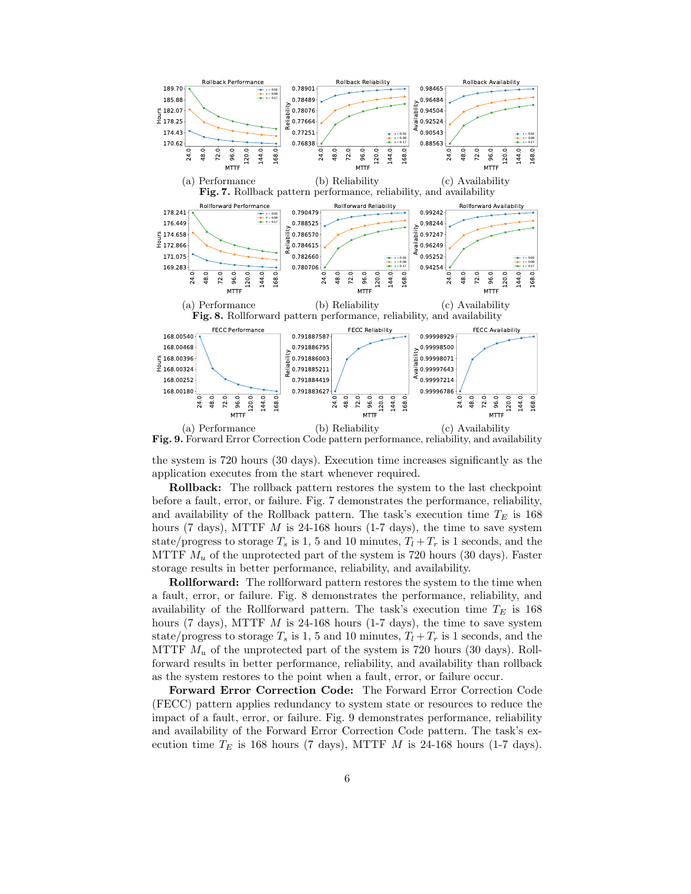

(b) Reliability (c) Availability Fig. 9. Forward Error Correction Code pattern performance, reliability, and availability

the system is 720 hours (30 days). Execution time increases significantly as the application executes from the start whenever required.

Rollback: The rollback pattern restores the system to the last checkpoint before a fault, error, or failure. Fig. 7 demonstrates the performance, reliability, and availability of the Rollback pattern. The task's execution time  $T_E$  is 168 hours (7 days), MTTF  $M$  is 24-168 hours (1-7 days), the time to save system state/progress to storage  $T_s$  is 1, 5 and 10 minutes,  $T_l + T_r$  is 1 seconds, and the MTTF  $M_u$  of the unprotected part of the system is 720 hours (30 days). Faster storage results in better performance, reliability, and availability.

Rollforward: The rollforward pattern restores the system to the time when a fault, error, or failure. Fig. 8 demonstrates the performance, reliability, and availability of the Rollforward pattern. The task's execution time  $T_E$  is 168 hours (7 days), MTTF  $M$  is 24-168 hours (1-7 days), the time to save system state/progress to storage  $T_s$  is 1, 5 and 10 minutes,  $T_l + T_r$  is 1 seconds, and the MTTF  $M_u$  of the unprotected part of the system is 720 hours (30 days). Rollforward results in better performance, reliability, and availability than rollback as the system restores to the point when a fault, error, or failure occur.

Forward Error Correction Code: The Forward Error Correction Code (FECC) pattern applies redundancy to system state or resources to reduce the impact of a fault, error, or failure. Fig. 9 demonstrates performance, reliability and availability of the Forward Error Correction Code pattern. The task's execution time  $T_E$  is 168 hours (7 days), MTTF M is 24-168 hours (1-7 days).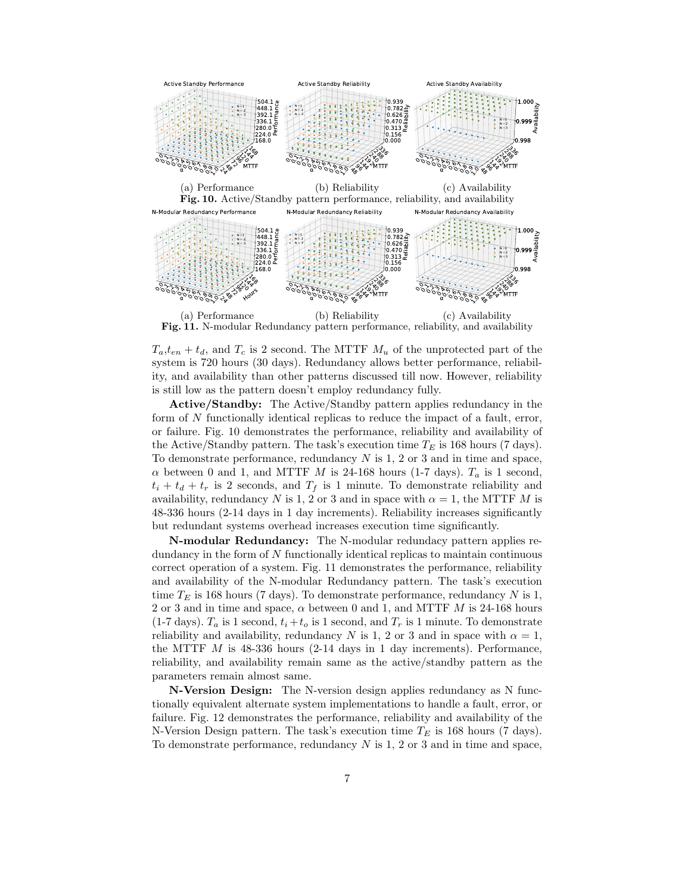

Fig. 11. N-modular Redundancy pattern performance, reliability, and availability

 $T_a,t_{en}+t_d$ , and  $T_c$  is 2 second. The MTTF  $M_u$  of the unprotected part of the system is 720 hours (30 days). Redundancy allows better performance, reliability, and availability than other patterns discussed till now. However, reliability is still low as the pattern doesn't employ redundancy fully.

Active/Standby: The Active/Standby pattern applies redundancy in the form of N functionally identical replicas to reduce the impact of a fault, error, or failure. Fig. 10 demonstrates the performance, reliability and availability of the Active/Standby pattern. The task's execution time  $T_E$  is 168 hours (7 days). To demonstrate performance, redundancy  $N$  is 1, 2 or 3 and in time and space,  $\alpha$  between 0 and 1, and MTTF M is 24-168 hours (1-7 days).  $T_a$  is 1 second,  $t_i + t_d + t_r$  is 2 seconds, and  $T_f$  is 1 minute. To demonstrate reliability and availability, redundancy N is 1, 2 or 3 and in space with  $\alpha = 1$ , the MTTF M is 48-336 hours (2-14 days in 1 day increments). Reliability increases significantly but redundant systems overhead increases execution time significantly.

N-modular Redundancy: The N-modular redundacy pattern applies redundancy in the form of N functionally identical replicas to maintain continuous correct operation of a system. Fig. 11 demonstrates the performance, reliability and availability of the N-modular Redundancy pattern. The task's execution time  $T_E$  is 168 hours (7 days). To demonstrate performance, redundancy N is 1, 2 or 3 and in time and space,  $\alpha$  between 0 and 1, and MTTF  $M$  is 24-168 hours  $(1-7 \text{ days})$ .  $T_a$  is 1 second,  $t_i + t_o$  is 1 second, and  $T_r$  is 1 minute. To demonstrate reliability and availability, redundancy N is 1, 2 or 3 and in space with  $\alpha = 1$ , the MTTF  $M$  is 48-336 hours (2-14 days in 1 day increments). Performance, reliability, and availability remain same as the active/standby pattern as the parameters remain almost same.

N-Version Design: The N-version design applies redundancy as N functionally equivalent alternate system implementations to handle a fault, error, or failure. Fig. 12 demonstrates the performance, reliability and availability of the N-Version Design pattern. The task's execution time  $T_E$  is 168 hours (7 days). To demonstrate performance, redundancy  $N$  is 1, 2 or 3 and in time and space,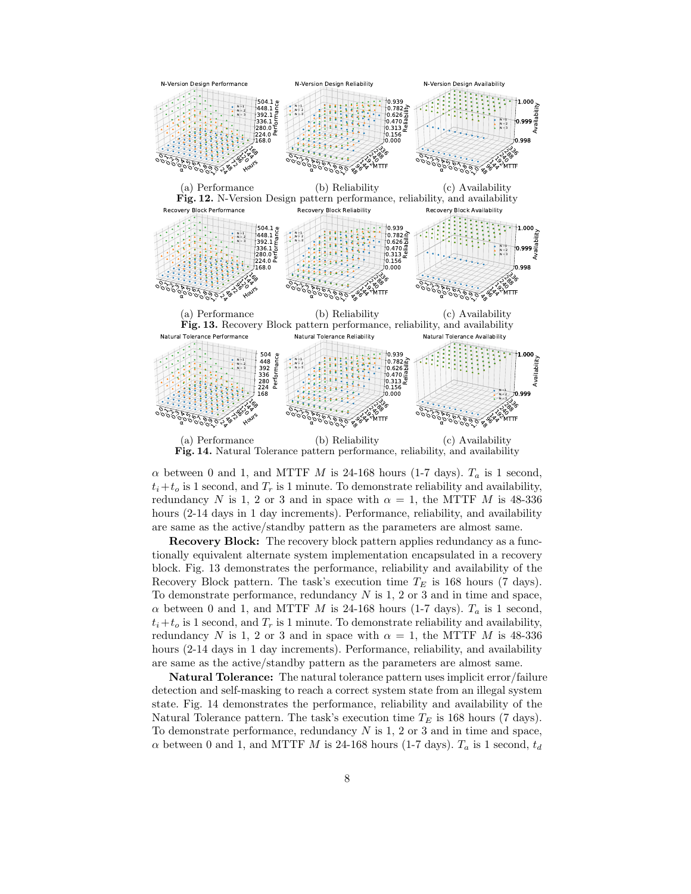

 $\alpha$  between 0 and 1, and MTTF M is 24-168 hours (1-7 days).  $T_a$  is 1 second,  $t_i+t_o$  is 1 second, and  $T_r$  is 1 minute. To demonstrate reliability and availability, redundancy N is 1, 2 or 3 and in space with  $\alpha = 1$ , the MTTF M is 48-336 hours (2-14 days in 1 day increments). Performance, reliability, and availability are same as the active/standby pattern as the parameters are almost same.

Recovery Block: The recovery block pattern applies redundancy as a functionally equivalent alternate system implementation encapsulated in a recovery block. Fig. 13 demonstrates the performance, reliability and availability of the Recovery Block pattern. The task's execution time  $T_E$  is 168 hours (7 days). To demonstrate performance, redundancy  $N$  is 1, 2 or 3 and in time and space,  $\alpha$  between 0 and 1, and MTTF M is 24-168 hours (1-7 days).  $T_a$  is 1 second,  $t_i+t_o$  is 1 second, and  $T_r$  is 1 minute. To demonstrate reliability and availability, redundancy N is 1, 2 or 3 and in space with  $\alpha = 1$ , the MTTF M is 48-336 hours (2-14 days in 1 day increments). Performance, reliability, and availability are same as the active/standby pattern as the parameters are almost same.

Natural Tolerance: The natural tolerance pattern uses implicit error/failure detection and self-masking to reach a correct system state from an illegal system state. Fig. 14 demonstrates the performance, reliability and availability of the Natural Tolerance pattern. The task's execution time  $T_E$  is 168 hours (7 days). To demonstrate performance, redundancy  $N$  is 1, 2 or 3 and in time and space,  $\alpha$  between 0 and 1, and MTTF M is 24-168 hours (1-7 days).  $T_a$  is 1 second,  $t_d$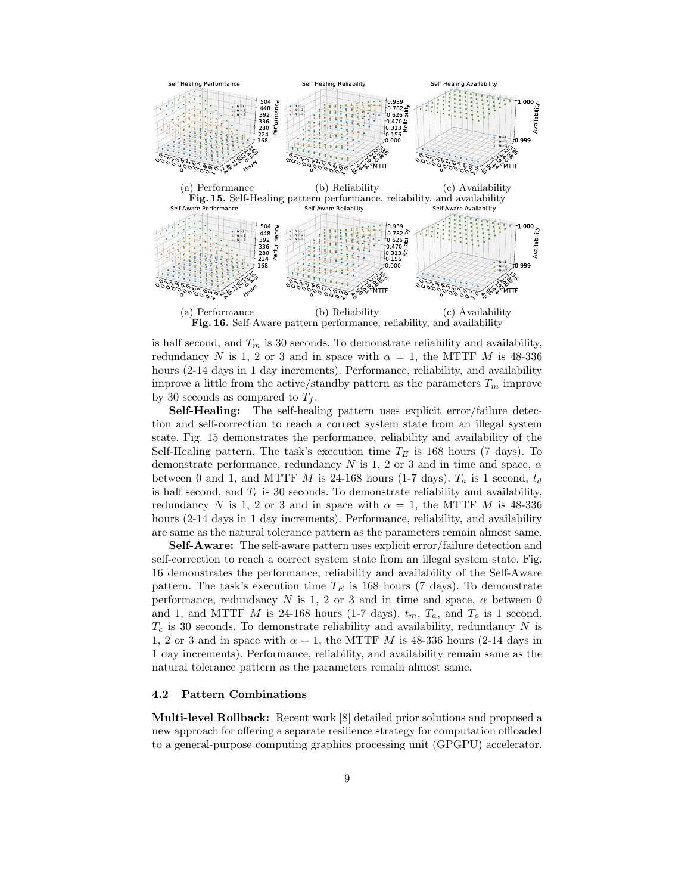

is half second, and  $T_m$  is 30 seconds. To demonstrate reliability and availability, redundancy N is 1, 2 or 3 and in space with  $\alpha = 1$ , the MTTF M is 48-336 hours (2-14 days in 1 day increments). Performance, reliability, and availability improve a little from the active/standby pattern as the parameters  $T_m$  improve by 30 seconds as compared to  $T_f$ .

Self-Healing: The self-healing pattern uses explicit error/failure detection and self-correction to reach a correct system state from an illegal system state. Fig. 15 demonstrates the performance, reliability and availability of the Self-Healing pattern. The task's execution time  $T_E$  is 168 hours (7 days). To demonstrate performance, redundancy N is 1, 2 or 3 and in time and space,  $\alpha$ between 0 and 1, and MTTF M is 24-168 hours (1-7 days).  $T_a$  is 1 second,  $t_d$ is half second, and  $T_c$  is 30 seconds. To demonstrate reliability and availability, redundancy N is 1, 2 or 3 and in space with  $\alpha = 1$ , the MTTF M is 48-336 hours (2-14 days in 1 day increments). Performance, reliability, and availability are same as the natural tolerance pattern as the parameters remain almost same.

Self-Aware: The self-aware pattern uses explicit error/failure detection and self-correction to reach a correct system state from an illegal system state. Fig. 16 demonstrates the performance, reliability and availability of the Self-Aware pattern. The task's execution time  $T_E$  is 168 hours (7 days). To demonstrate performance, redundancy N is 1, 2 or 3 and in time and space,  $\alpha$  between 0 and 1, and MTTF M is 24-168 hours (1-7 days).  $t_m$ ,  $T_a$ , and  $T_o$  is 1 second.  $T_c$  is 30 seconds. To demonstrate reliability and availability, redundancy N is 1, 2 or 3 and in space with  $\alpha = 1$ , the MTTF M is 48-336 hours (2-14 days in 1 day increments). Performance, reliability, and availability remain same as the natural tolerance pattern as the parameters remain almost same.

### 4.2 Pattern Combinations

Multi-level Rollback: Recent work [8] detailed prior solutions and proposed a new approach for offering a separate resilience strategy for computation offloaded to a general-purpose computing graphics processing unit (GPGPU) accelerator.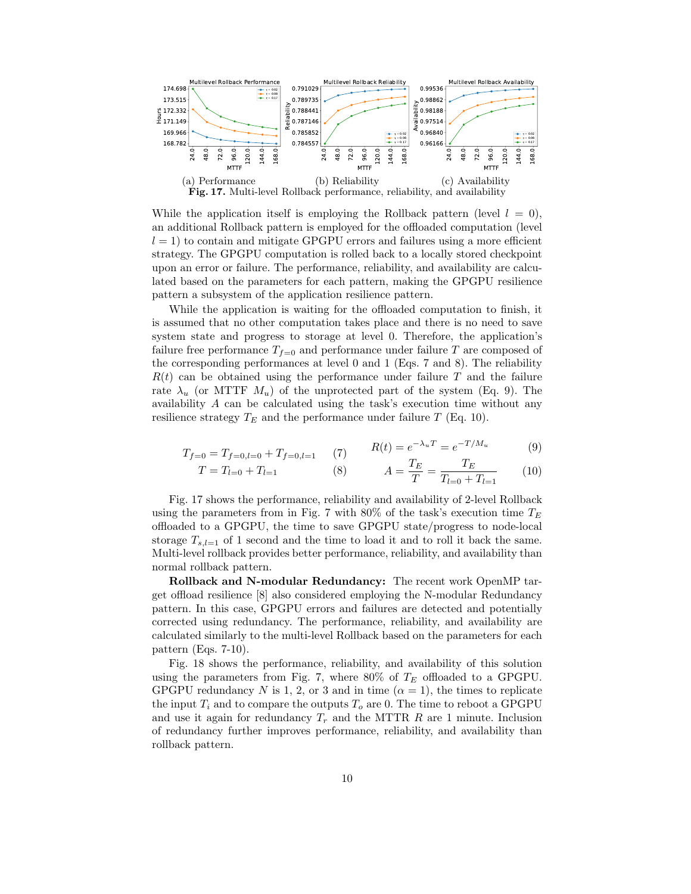

While the application itself is employing the Rollback pattern (level  $l = 0$ ), an additional Rollback pattern is employed for the offloaded computation (level  $l = 1$ ) to contain and mitigate GPGPU errors and failures using a more efficient strategy. The GPGPU computation is rolled back to a locally stored checkpoint upon an error or failure. The performance, reliability, and availability are calculated based on the parameters for each pattern, making the GPGPU resilience pattern a subsystem of the application resilience pattern.

While the application is waiting for the offloaded computation to finish, it is assumed that no other computation takes place and there is no need to save system state and progress to storage at level 0. Therefore, the application's failure free performance  $T_{f=0}$  and performance under failure T are composed of the corresponding performances at level 0 and 1 (Eqs. 7 and 8). The reliability  $R(t)$  can be obtained using the performance under failure T and the failure rate  $\lambda_u$  (or MTTF  $M_u$ ) of the unprotected part of the system (Eq. 9). The availability A can be calculated using the task's execution time without any resilience strategy  $T_E$  and the performance under failure T (Eq. 10).

$$
T_{f=0} = T_{f=0,l=0} + T_{f=0,l=1} \qquad (7) \qquad R(t) = e^{-\lambda_u T} = e^{-T/M_u} \tag{9}
$$

$$
T = T_{l=0} + T_{l=1} \tag{8} \qquad A = \frac{T_E}{T} = \frac{T_E}{T_{l=0} + T_{l=1}} \tag{10}
$$

Fig. 17 shows the performance, reliability and availability of 2-level Rollback using the parameters from in Fig. 7 with 80% of the task's execution time  $T_E$ offloaded to a GPGPU, the time to save GPGPU state/progress to node-local storage  $T_{s,l=1}$  of 1 second and the time to load it and to roll it back the same. Multi-level rollback provides better performance, reliability, and availability than normal rollback pattern.

Rollback and N-modular Redundancy: The recent work OpenMP target offload resilience [8] also considered employing the N-modular Redundancy pattern. In this case, GPGPU errors and failures are detected and potentially corrected using redundancy. The performance, reliability, and availability are calculated similarly to the multi-level Rollback based on the parameters for each pattern (Eqs. 7-10).

Fig. 18 shows the performance, reliability, and availability of this solution using the parameters from Fig. 7, where 80% of  $T_E$  offloaded to a GPGPU. GPGPU redundancy N is 1, 2, or 3 and in time  $(\alpha = 1)$ , the times to replicate the input  $T_i$  and to compare the outputs  $T_o$  are 0. The time to reboot a GPGPU and use it again for redundancy  $T_r$  and the MTTR R are 1 minute. Inclusion of redundancy further improves performance, reliability, and availability than rollback pattern.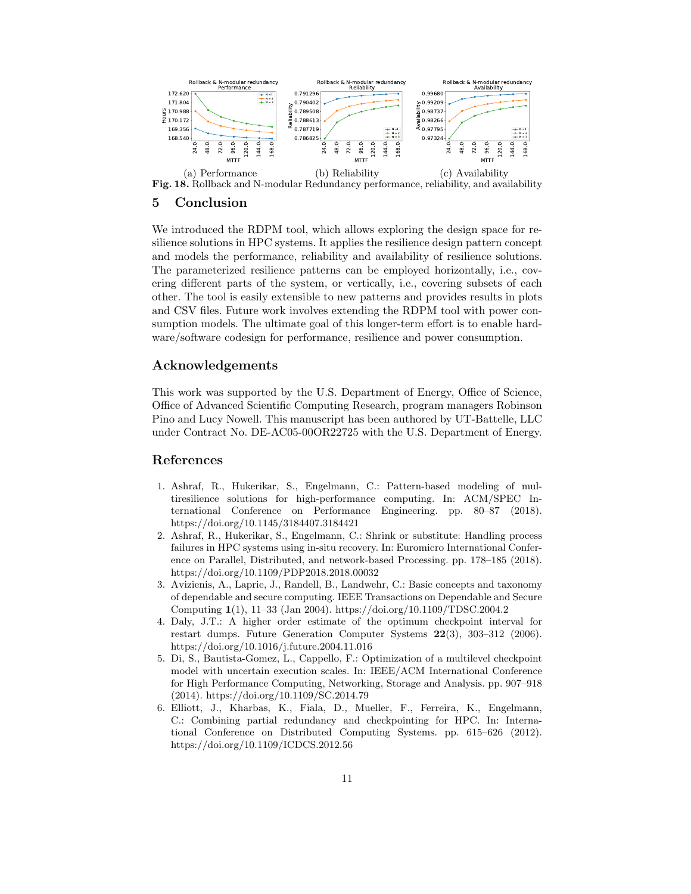

Fig. 18. Rollback and N-modular Redundancy performance, reliability, and availability

### 5 Conclusion

We introduced the RDPM tool, which allows exploring the design space for resilience solutions in HPC systems. It applies the resilience design pattern concept and models the performance, reliability and availability of resilience solutions. The parameterized resilience patterns can be employed horizontally, i.e., covering different parts of the system, or vertically, i.e., covering subsets of each other. The tool is easily extensible to new patterns and provides results in plots and CSV files. Future work involves extending the RDPM tool with power consumption models. The ultimate goal of this longer-term effort is to enable hardware/software codesign for performance, resilience and power consumption.

## Acknowledgements

This work was supported by the U.S. Department of Energy, Office of Science, Office of Advanced Scientific Computing Research, program managers Robinson Pino and Lucy Nowell. This manuscript has been authored by UT-Battelle, LLC under Contract No. DE-AC05-00OR22725 with the U.S. Department of Energy.

### References

- 1. Ashraf, R., Hukerikar, S., Engelmann, C.: Pattern-based modeling of multiresilience solutions for high-performance computing. In: ACM/SPEC International Conference on Performance Engineering. pp. 80–87 (2018). https://doi.org/10.1145/3184407.3184421
- 2. Ashraf, R., Hukerikar, S., Engelmann, C.: Shrink or substitute: Handling process failures in HPC systems using in-situ recovery. In: Euromicro International Conference on Parallel, Distributed, and network-based Processing. pp. 178–185 (2018). https://doi.org/10.1109/PDP2018.2018.00032
- 3. Avizienis, A., Laprie, J., Randell, B., Landwehr, C.: Basic concepts and taxonomy of dependable and secure computing. IEEE Transactions on Dependable and Secure Computing 1(1), 11–33 (Jan 2004). https://doi.org/10.1109/TDSC.2004.2
- 4. Daly, J.T.: A higher order estimate of the optimum checkpoint interval for restart dumps. Future Generation Computer Systems 22(3), 303–312 (2006). https://doi.org/10.1016/j.future.2004.11.016
- 5. Di, S., Bautista-Gomez, L., Cappello, F.: Optimization of a multilevel checkpoint model with uncertain execution scales. In: IEEE/ACM International Conference for High Performance Computing, Networking, Storage and Analysis. pp. 907–918 (2014). https://doi.org/10.1109/SC.2014.79
- 6. Elliott, J., Kharbas, K., Fiala, D., Mueller, F., Ferreira, K., Engelmann, C.: Combining partial redundancy and checkpointing for HPC. In: International Conference on Distributed Computing Systems. pp. 615–626 (2012). https://doi.org/10.1109/ICDCS.2012.56